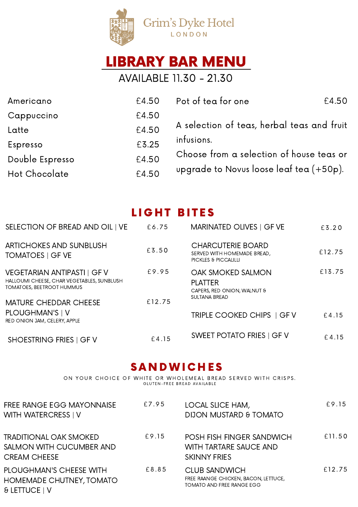

# LIBRARY BAR MENU

AVAILABLE 11.30 - 21.30

| Americano       | £4.50 | Pot of tea for one<br>£4.50                |
|-----------------|-------|--------------------------------------------|
| Cappuccino      | £4.50 |                                            |
| Latte           | £4.50 | A selection of teas, herbal teas and fruit |
| Espresso        | £3.25 | infusions.                                 |
| Double Espresso | £4.50 | Choose from a selection of house teas or   |
| Hot Chocolate   | £4.50 | upgrade to Novus loose leaf tea $(+50p)$ . |

## LIGHT BITES

| SELECTION OF BREAD AND OIL   VE                                                                               | £6.75  | MARINATED OLIVES   GF VE                                                        | £3.20  |
|---------------------------------------------------------------------------------------------------------------|--------|---------------------------------------------------------------------------------|--------|
| <b>ARTICHOKES AND SUNBLUSH</b><br><b>TOMATOES   GF VE</b>                                                     | £3.50  | <b>CHARCUTERIE BOARD</b><br>SERVED WITH HOMEMADE BREAD,<br>PICKLES & PICCALILLI | £12.75 |
| VEGETARIAN ANTIPASTI   GF V<br>HALLOUMI CHEESE, CHAR VEGETABLES, SUNBLUSH<br><b>TOMATOES, BEETROOT HUMMUS</b> | £9.95  | OAK SMOKED SALMON<br><b>PLATTER</b><br>CAPERS, RED ONION, WALNUT &              | £13.75 |
| <b>MATURE CHEDDAR CHEESE</b>                                                                                  | £12.75 | <b>SULTANA BREAD</b>                                                            |        |
| PLOUGHMAN'S   V<br>RED ONION JAM, CELERY, APPLE                                                               |        | TRIPLE COOKED CHIPS   GF V                                                      | £4.15  |
| <b>SHOESTRING FRIES   GFV</b>                                                                                 | £4.15  | <b>SWEET POTATO FRIES   GF V</b>                                                | £4.15  |

### **SANDWICHES**

ON YOUR CHOICE OF WHITE OR WHOLEMEAL BREAD SERVED WITH CRISPS. G LUTEN-FREE BREAD AVAILABLE

| FREE RANGE EGG MAYONNAISE<br><b>WITH WATERCRESS   V</b>                          | £7.95 | LOCAL SLICE HAM,<br>DIJON MUSTARD & TOMATO                                                       | £9.15  |
|----------------------------------------------------------------------------------|-------|--------------------------------------------------------------------------------------------------|--------|
| <b>TRADITIONAL OAK SMOKED</b><br>SALMON WITH CUCUMBER AND<br><b>CREAM CHEESE</b> | £9.15 | POSH FISH FINGER SANDWICH<br><b>WITH TARTARE SAUCE AND</b><br><b>SKINNY FRIES</b>                | £11.50 |
| <b>PLOUGHMAN'S CHEESE WITH</b><br>HOMEMADE CHUTNEY, TOMATO<br>& LETTUCE   V      | £8.85 | <b>CLUB SANDWICH</b><br>FREE RAANGE CHICKEN, BACON, LETTUCE,<br><b>TOMATO AND FREE RANGE EGG</b> | £12.75 |